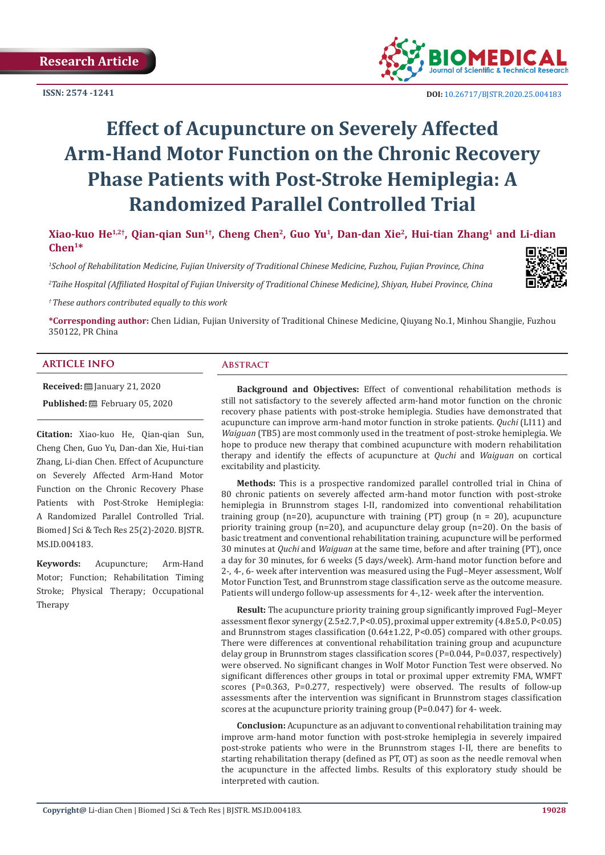**ISSN: 2574 -1241**



 **DOI:** [10.26717/BJSTR.2020.25.0041](http://dx.doi.org/10.26717/BJSTR.2020.25.004183)83

# **Effect of Acupuncture on Severely Affected Arm-Hand Motor Function on the Chronic Recovery Phase Patients with Post-Stroke Hemiplegia: A Randomized Parallel Controlled Trial**

**Xiao-kuo He1,2†, Qian-qian Sun1†, Cheng Chen2, Guo Yu1, Dan-dan Xie2, Hui-tian Zhang1 and Li-dian Chen1\***

*1 School of Rehabilitation Medicine, Fujian University of Traditional Chinese Medicine, Fuzhou, Fujian Province, China*

*2 Taihe Hospital (Affiliated Hospital of Fujian University of Traditional Chinese Medicine), Shiyan, Hubei Province, China*



*† These authors contributed equally to this work*

**\*Corresponding author:** Chen Lidian, Fujian University of Traditional Chinese Medicine, Qiuyang No.1, Minhou Shangjie, Fuzhou 350122, PR China

# **ARTICLE INFO Abstract**

**Received:** ■ January 21, 2020 **Published:** 巴 February 05, 2020

**Citation:** Xiao-kuo He, Qian-qian Sun, Cheng Chen, Guo Yu, Dan-dan Xie, Hui-tian Zhang, Li-dian Chen. Effect of Acupuncture on Severely Affected Arm-Hand Motor Function on the Chronic Recovery Phase Patients with Post-Stroke Hemiplegia: A Randomized Parallel Controlled Trial. Biomed J Sci & Tech Res 25(2)-2020. BJSTR. MS.ID.004183.

**Keywords:** Acupuncture; Arm-Hand Motor; Function; Rehabilitation Timing Stroke; Physical Therapy; Occupational Therapy

**Background and Objectives:** Effect of conventional rehabilitation methods is still not satisfactory to the severely affected arm-hand motor function on the chronic recovery phase patients with post-stroke hemiplegia. Studies have demonstrated that acupuncture can improve arm-hand motor function in stroke patients. *Quchi* (LI11) and *Waiguan* (TB5) are most commonly used in the treatment of post-stroke hemiplegia. We hope to produce new therapy that combined acupuncture with modern rehabilitation therapy and identify the effects of acupuncture at *Quchi* and *Waiguan* on cortical excitability and plasticity.

**Methods:** This is a prospective randomized parallel controlled trial in China of 80 chronic patients on severely affected arm-hand motor function with post-stroke hemiplegia in Brunnstrom stages I-II, randomized into conventional rehabilitation training group (n=20), acupuncture with training (PT) group (n = 20), acupuncture priority training group (n=20), and acupuncture delay group (n=20). On the basis of basic treatment and conventional rehabilitation training, acupuncture will be performed 30 minutes at *Quchi* and *Waiguan* at the same time, before and after training (PT), once a day for 30 minutes, for 6 weeks (5 days/week). Arm-hand motor function before and 2-, 4-, 6- week after intervention was measured using the Fugl–Meyer assessment, Wolf Motor Function Test, and Brunnstrom stage classification serve as the outcome measure. Patients will undergo follow-up assessments for 4-,12- week after the intervention.

**Result:** The acupuncture priority training group significantly improved Fugl–Meyer assessment flexor synergy (2.5±2.7, P<0.05), proximal upper extremity (4.8±5.0, P<0.05) and Brunnstrom stages classification  $(0.64 \pm 1.22, P < 0.05)$  compared with other groups. There were differences at conventional rehabilitation training group and acupuncture delay group in Brunnstrom stages classification scores (P=0.044, P=0.037, respectively) were observed. No significant changes in Wolf Motor Function Test were observed. No significant differences other groups in total or proximal upper extremity FMA, WMFT scores (P=0.363, P=0.277, respectively) were observed. The results of follow-up assessments after the intervention was significant in Brunnstrom stages classification scores at the acupuncture priority training group (P=0.047) for 4- week.

**Conclusion:** Acupuncture as an adjuvant to conventional rehabilitation training may improve arm-hand motor function with post-stroke hemiplegia in severely impaired post-stroke patients who were in the Brunnstrom stages I-II, there are benefits to starting rehabilitation therapy (defined as PT, OT) as soon as the needle removal when the acupuncture in the affected limbs. Results of this exploratory study should be interpreted with caution.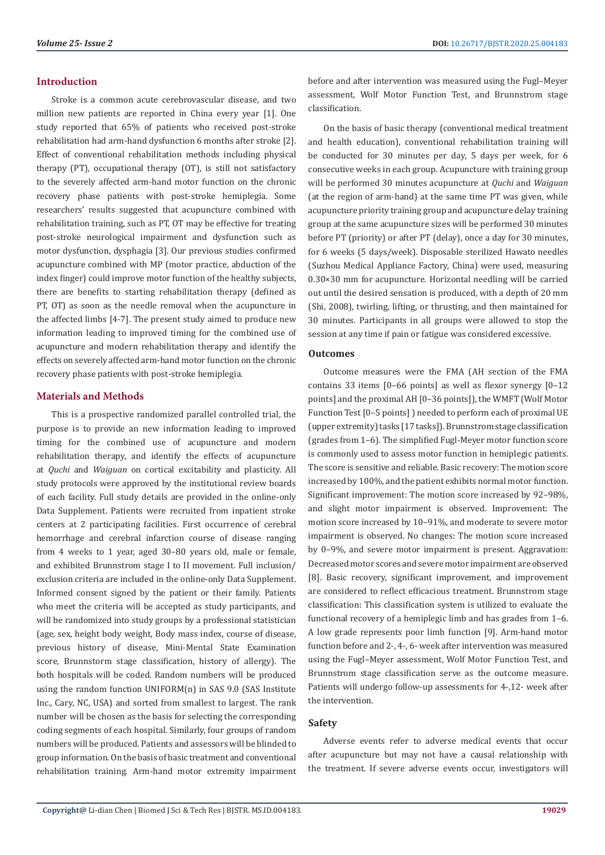#### **Introduction**

Stroke is a common acute cerebrovascular disease, and two million new patients are reported in China every year [1]. One study reported that 65% of patients who received post-stroke rehabilitation had arm-hand dysfunction 6 months after stroke [2]. Effect of conventional rehabilitation methods including physical therapy (PT), occupational therapy (OT), is still not satisfactory to the severely affected arm-hand motor function on the chronic recovery phase patients with post-stroke hemiplegia. Some researchers' results suggested that acupuncture combined with rehabilitation training, such as PT, OT may be effective for treating post-stroke neurological impairment and dysfunction such as motor dysfunction, dysphagia [3]. Our previous studies confirmed acupuncture combined with MP (motor practice, abduction of the index finger) could improve motor function of the healthy subjects, there are benefits to starting rehabilitation therapy (defined as PT, OT) as soon as the needle removal when the acupuncture in the affected limbs [4-7]. The present study aimed to produce new information leading to improved timing for the combined use of acupuncture and modern rehabilitation therapy and identify the effects on severely affected arm-hand motor function on the chronic recovery phase patients with post-stroke hemiplegia.

# **Materials and Methods**

This is a prospective randomized parallel controlled trial, the purpose is to provide an new information leading to improved timing for the combined use of acupuncture and modern rehabilitation therapy, and identify the effects of acupuncture at *Quchi* and *Waiguan* on cortical excitability and plasticity. All study protocols were approved by the institutional review boards of each facility. Full study details are provided in the online-only Data Supplement. Patients were recruited from inpatient stroke centers at 2 participating facilities. First occurrence of cerebral hemorrhage and cerebral infarction course of disease ranging from 4 weeks to 1 year, aged 30–80 years old, male or female, and exhibited Brunnstrom stage I to II movement. Full inclusion/ exclusion criteria are included in the online-only Data Supplement. Informed consent signed by the patient or their family. Patients who meet the criteria will be accepted as study participants, and will be randomized into study groups by a professional statistician (age, sex, height body weight, Body mass index, course of disease, previous history of disease, Mini-Mental State Examination score, Brunnstorm stage classification, history of allergy). The both hospitals will be coded. Random numbers will be produced using the random function UNIFORM(n) in SAS 9.0 (SAS Institute Inc., Cary, NC, USA) and sorted from smallest to largest. The rank number will be chosen as the basis for selecting the corresponding coding segments of each hospital. Similarly, four groups of random numbers will be produced. Patients and assessors will be blinded to group information. On the basis of basic treatment and conventional rehabilitation training. Arm-hand motor extremity impairment

before and after intervention was measured using the Fugl–Meyer assessment, Wolf Motor Function Test, and Brunnstrom stage classification.

On the basis of basic therapy (conventional medical treatment and health education), conventional rehabilitation training will be conducted for 30 minutes per day, 5 days per week, for 6 consecutive weeks in each group. Acupuncture with training group will be performed 30 minutes acupuncture at *Quchi* and *Waiguan* (at the region of arm-hand) at the same time PT was given, while acupuncture priority training group and acupuncture delay training group at the same acupuncture sizes will be performed 30 minutes before PT (priority) or after PT (delay), once a day for 30 minutes, for 6 weeks (5 days/week). Disposable sterilized Hawato needles (Suzhou Medical Appliance Factory, China) were used, measuring 0.30×30 mm for acupuncture. Horizontal needling will be carried out until the desired sensation is produced, with a depth of 20 mm (Shi, 2008), twirling, lifting, or thrusting, and then maintained for 30 minutes. Participants in all groups were allowed to stop the session at any time if pain or fatigue was considered excessive.

# **Outcomes**

Outcome measures were the FMA (AH section of the FMA contains 33 items [0–66 points] as well as flexor synergy [0–12 points] and the proximal AH [0–36 points]), the WMFT (Wolf Motor Function Test [0–5 points] ) needed to perform each of proximal UE (upper extremity) tasks [17 tasks]). Brunnstrom stage classification (grades from 1–6). The simplified Fugl-Meyer motor function score is commonly used to assess motor function in hemiplegic patients. The score is sensitive and reliable. Basic recovery: The motion score increased by 100%, and the patient exhibits normal motor function. Significant improvement: The motion score increased by 92–98%, and slight motor impairment is observed. Improvement: The motion score increased by 10–91%, and moderate to severe motor impairment is observed. No changes: The motion score increased by 0–9%, and severe motor impairment is present. Aggravation: Decreased motor scores and severe motor impairment are observed [8]. Basic recovery, significant improvement, and improvement are considered to reflect efficacious treatment. Brunnstrom stage classification: This classification system is utilized to evaluate the functional recovery of a hemiplegic limb and has grades from 1–6. A low grade represents poor limb function [9]. Arm-hand motor function before and 2-, 4-, 6- week after intervention was measured using the Fugl–Meyer assessment, Wolf Motor Function Test, and Brunnstrom stage classification serve as the outcome measure. Patients will undergo follow-up assessments for 4-,12- week after the intervention.

# **Safety**

Adverse events refer to adverse medical events that occur after acupuncture but may not have a causal relationship with the treatment. If severe adverse events occur, investigators will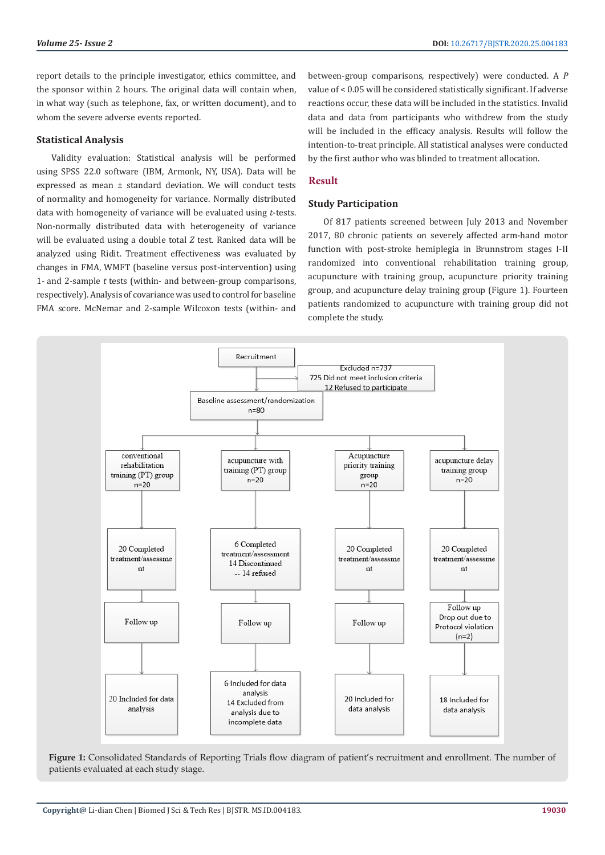report details to the principle investigator, ethics committee, and the sponsor within 2 hours. The original data will contain when, in what way (such as telephone, fax, or written document), and to whom the severe adverse events reported.

# **Statistical Analysis**

Validity evaluation: Statistical analysis will be performed using SPSS 22.0 software (IBM, Armonk, NY, USA). Data will be expressed as mean ± standard deviation. We will conduct tests of normality and homogeneity for variance. Normally distributed data with homogeneity of variance will be evaluated using *t*-tests. Non-normally distributed data with heterogeneity of variance will be evaluated using a double total *Z* test. Ranked data will be analyzed using Ridit. Treatment effectiveness was evaluated by changes in FMA, WMFT (baseline versus post-intervention) using 1- and 2-sample *t* tests (within- and between-group comparisons, respectively). Analysis of covariance was used to control for baseline FMA score. McNemar and 2-sample Wilcoxon tests (within- and

between-group comparisons, respectively) were conducted. A *P*  value of < 0.05 will be considered statistically significant. If adverse reactions occur, these data will be included in the statistics. Invalid data and data from participants who withdrew from the study will be included in the efficacy analysis. Results will follow the intention-to-treat principle. All statistical analyses were conducted by the first author who was blinded to treatment allocation.

# **Result**

#### **Study Participation**

Of 817 patients screened between July 2013 and November 2017, 80 chronic patients on severely affected arm-hand motor function with post-stroke hemiplegia in Brunnstrom stages I-II randomized into conventional rehabilitation training group, acupuncture with training group, acupuncture priority training group, and acupuncture delay training group (Figure 1). Fourteen patients randomized to acupuncture with training group did not complete the study.



**Figure 1:** Consolidated Standards of Reporting Trials flow diagram of patient's recruitment and enrollment. The number of patients evaluated at each study stage.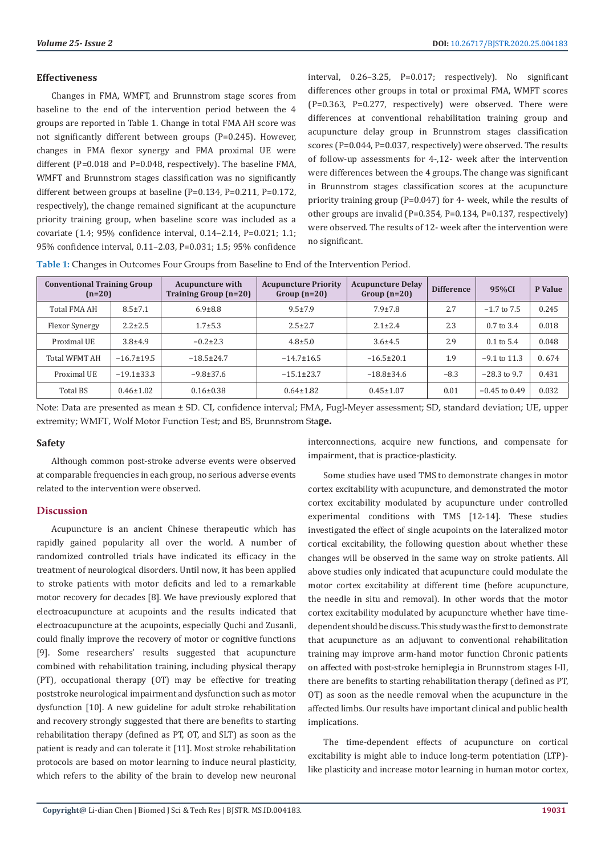#### **Effectiveness**

Changes in FMA, WMFT, and Brunnstrom stage scores from baseline to the end of the intervention period between the 4 groups are reported in Table 1. Change in total FMA AH score was not significantly different between groups (P=0.245). However, changes in FMA flexor synergy and FMA proximal UE were different (P=0.018 and P=0.048, respectively). The baseline FMA, WMFT and Brunnstrom stages classification was no significantly different between groups at baseline (P=0.134, P=0.211, P=0.172, respectively), the change remained significant at the acupuncture priority training group, when baseline score was included as a covariate (1.4; 95% confidence interval, 0.14–2.14, P=0.021; 1.1; 95% confidence interval, 0.11–2.03, P=0.031; 1.5; 95% confidence

interval, 0.26–3.25, P=0.017; respectively). No significant differences other groups in total or proximal FMA, WMFT scores (P=0.363, P=0.277, respectively) were observed. There were differences at conventional rehabilitation training group and acupuncture delay group in Brunnstrom stages classification scores (P=0.044, P=0.037, respectively) were observed. The results of follow-up assessments for 4-,12- week after the intervention were differences between the 4 groups. The change was significant in Brunnstrom stages classification scores at the acupuncture priority training group (P=0.047) for 4- week, while the results of other groups are invalid (P=0.354, P=0.134, P=0.137, respectively) were observed. The results of 12- week after the intervention were no significant.

**Table 1:** Changes in Outcomes Four Groups from Baseline to End of the Intervention Period.

| <b>Conventional Training Group</b><br>$(n=20)$ |                  | <b>Acupuncture with</b><br><b>Training Group (n=20)</b> | <b>Acupuncture Priority</b><br>Group $(n=20)$ | <b>Acupuncture Delay</b><br>$Group(n=20)$ | <b>Difference</b> | 95%CI                 | P Value |
|------------------------------------------------|------------------|---------------------------------------------------------|-----------------------------------------------|-------------------------------------------|-------------------|-----------------------|---------|
| <b>Total FMA AH</b>                            | $8.5 \pm 7.1$    | $6.9 \pm 8.8$                                           | $9.5 \pm 7.9$                                 | $7.9 \pm 7.8$                             | 2.7               | $-1.7$ to $7.5$       | 0.245   |
| Flexor Synergy                                 | $2.2 \pm 2.5$    | $1.7 + 5.3$                                             | $2.5 \pm 2.7$                                 | $2.1 \pm 2.4$                             | 2.3               | $0.7 \text{ to } 3.4$ | 0.018   |
| Proximal UE                                    | $3.8 + 4.9$      | $-0.2 \pm 2.3$                                          | $4.8 \pm 5.0$                                 | $3.6 \pm 4.5$                             | 2.9               | $0.1 \text{ to } 5.4$ | 0.048   |
| <b>Total WFMT AH</b>                           | $-16.7 \pm 19.5$ | $-18.5 \pm 24.7$                                        | $-14.7 \pm 16.5$                              | $-16.5 \pm 20.1$                          | 1.9               | $-9.1$ to 11.3        | 0.674   |
| Proximal UE                                    | $-19.1 \pm 33.3$ | $-9.8 \pm 37.6$                                         | $-15.1 \pm 23.7$                              | $-18.8 \pm 34.6$                          | $-8.3$            | $-28.3$ to 9.7        | 0.431   |
| Total BS                                       | $0.46 \pm 1.02$  | $0.16 \pm 0.38$                                         | $0.64 \pm 1.82$                               | $0.45 \pm 1.07$                           | 0.01              | $-0.45$ to 0.49       | 0.032   |

Note: Data are presented as mean ± SD. CI, confidence interval; FMA, Fugl-Meyer assessment; SD, standard deviation; UE, upper extremity; WMFT, Wolf Motor Function Test; and BS, Brunnstrom Sta**ge.**

# **Safety**

Although common post-stroke adverse events were observed at comparable frequencies in each group, no serious adverse events related to the intervention were observed.

# **Discussion**

Acupuncture is an ancient Chinese therapeutic which has rapidly gained popularity all over the world. A number of randomized controlled trials have indicated its efficacy in the treatment of neurological disorders. Until now, it has been applied to stroke patients with motor deficits and led to a remarkable motor recovery for decades [8]. We have previously explored that electroacupuncture at acupoints and the results indicated that electroacupuncture at the acupoints, especially Quchi and Zusanli, could finally improve the recovery of motor or cognitive functions [9]. Some researchers' results suggested that acupuncture combined with rehabilitation training, including physical therapy (PT), occupational therapy (OT) may be effective for treating poststroke neurological impairment and dysfunction such as motor dysfunction [10]. A new guideline for adult stroke rehabilitation and recovery strongly suggested that there are benefits to starting rehabilitation therapy (defined as PT, OT, and SLT) as soon as the patient is ready and can tolerate it [11]. Most stroke rehabilitation protocols are based on motor learning to induce neural plasticity, which refers to the ability of the brain to develop new neuronal

interconnections, acquire new functions, and compensate for impairment, that is practice-plasticity.

Some studies have used TMS to demonstrate changes in motor cortex excitability with acupuncture, and demonstrated the motor cortex excitability modulated by acupuncture under controlled experimental conditions with TMS [12-14]. These studies investigated the effect of single acupoints on the lateralized motor cortical excitability, the following question about whether these changes will be observed in the same way on stroke patients. All above studies only indicated that acupuncture could modulate the motor cortex excitability at different time (before acupuncture, the needle in situ and removal). In other words that the motor cortex excitability modulated by acupuncture whether have timedependent should be discuss. This study was the first to demonstrate that acupuncture as an adjuvant to conventional rehabilitation training may improve arm-hand motor function Chronic patients on affected with post-stroke hemiplegia in Brunnstrom stages I-II, there are benefits to starting rehabilitation therapy (defined as PT, OT) as soon as the needle removal when the acupuncture in the affected limbs. Our results have important clinical and public health implications.

The time-dependent effects of acupuncture on cortical excitability is might able to induce long-term potentiation (LTP) like plasticity and increase motor learning in human motor cortex,